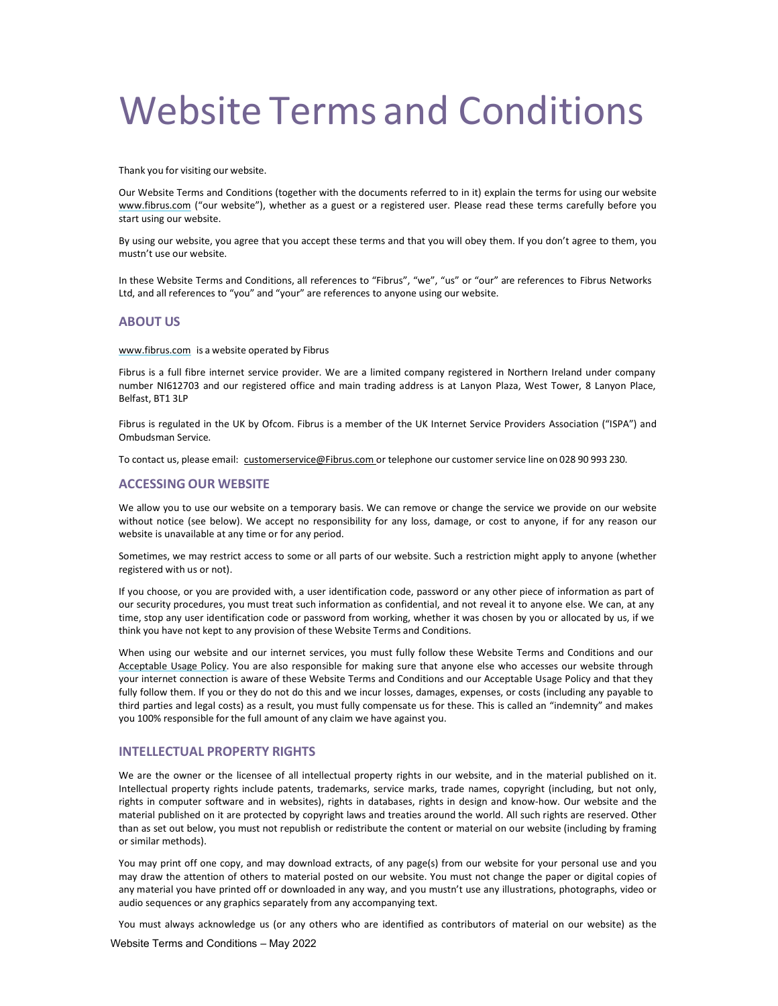# Website Terms and Conditions

Thank you for visiting our website.

Our Website Terms and Conditions (together with the documents referred to in it) explain the terms for using our website www.fibrus.com ("our website"), whether as a guest or a registered user. Please read these terms carefully before you start using our website.

By using our website, you agree that you accept these terms and that you will obey them. If you don't agree to them, you mustn't use our website.

In these Website Terms and Conditions, all references to "Fibrus", "we", "us" or "our" are references to Fibrus Networks Ltd, and all references to "you" and "your" are references to anyone using our website.

# ABOUT US

www.fibrus.com is a website operated by Fibrus

Fibrus is a full fibre internet service provider. We are a limited company registered in Northern Ireland under company number NI612703 and our registered office and main trading address is at Lanyon Plaza, West Tower, 8 Lanyon Place, Belfast, BT1 3LP

Fibrus is regulated in the UK by Ofcom. Fibrus is a member of the UK Internet Service Providers Association ("ISPA") and Ombudsman Service.

To contact us, please email: customerservice@Fibrus.com or telephone our customer service line on 028 90 993 230.

# ACCESSING OUR WEBSITE

We allow you to use our website on a temporary basis. We can remove or change the service we provide on our website without notice (see below). We accept no responsibility for any loss, damage, or cost to anyone, if for any reason our website is unavailable at any time or for any period.

Sometimes, we may restrict access to some or all parts of our website. Such a restriction might apply to anyone (whether registered with us or not).

If you choose, or you are provided with, a user identification code, password or any other piece of information as part of our security procedures, you must treat such information as confidential, and not reveal it to anyone else. We can, at any time, stop any user identification code or password from working, whether it was chosen by you or allocated by us, if we think you have not kept to any provision of these Website Terms and Conditions.

When using our website and our internet services, you must fully follow these Website Terms and Conditions and our Acceptable Usage Policy. You are also responsible for making sure that anyone else who accesses our website through your internet connection is aware of these Website Terms and Conditions and our Acceptable Usage Policy and that they fully follow them. If you or they do not do this and we incur losses, damages, expenses, or costs (including any payable to third parties and legal costs) as a result, you must fully compensate us for these. This is called an "indemnity" and makes you 100% responsible for the full amount of any claim we have against you.

#### INTELLECTUAL PROPERTY RIGHTS

We are the owner or the licensee of all intellectual property rights in our website, and in the material published on it. Intellectual property rights include patents, trademarks, service marks, trade names, copyright (including, but not only, rights in computer software and in websites), rights in databases, rights in design and know-how. Our website and the material published on it are protected by copyright laws and treaties around the world. All such rights are reserved. Other than as set out below, you must not republish or redistribute the content or material on our website (including by framing or similar methods).

You may print off one copy, and may download extracts, of any page(s) from our website for your personal use and you may draw the attention of others to material posted on our website. You must not change the paper or digital copies of any material you have printed off or downloaded in any way, and you mustn't use any illustrations, photographs, video or audio sequences or any graphics separately from any accompanying text.

You must always acknowledge us (or any others who are identified as contributors of material on our website) as the

Website Terms and Conditions – May 2022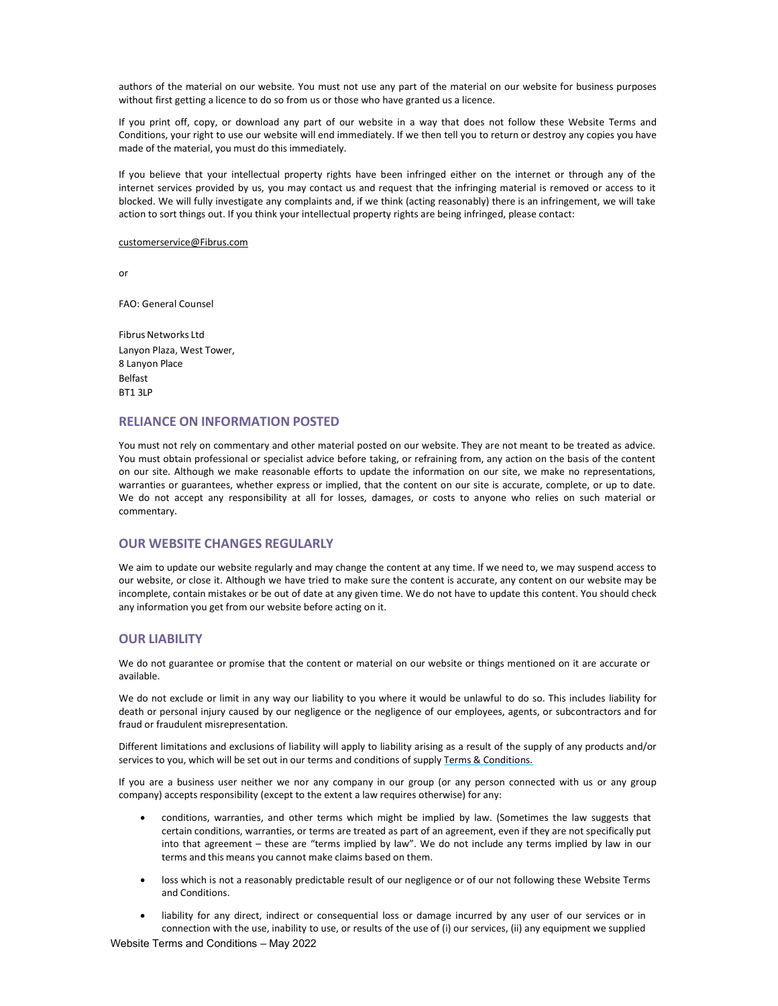authors of the material on our website. You must not use any part of the material on our website for business purposes without first getting a licence to do so from us or those who have granted us a licence.

If you print off, copy, or download any part of our website in a way that does not follow these Website Terms and Conditions, your right to use our website will end immediately. If we then tell you to return or destroy any copies you have made of the material, you must do this immediately.

If you believe that your intellectual property rights have been infringed either on the internet or through any of the internet services provided by us, you may contact us and request that the infringing material is removed or access to it blocked. We will fully investigate any complaints and, if we think (acting reasonably) there is an infringement, we will take action to sort things out. If you think your intellectual property rights are being infringed, please contact:

#### customerservice@Fibrus.com

or

FAO: General Counsel

Fibrus Networks Ltd Lanyon Plaza, West Tower, 8 Lanyon Place Belfast BT1 3LP

#### RELIANCE ON INFORMATION POSTED

You must not rely on commentary and other material posted on our website. They are not meant to be treated as advice. You must obtain professional or specialist advice before taking, or refraining from, any action on the basis of the content on our site. Although we make reasonable efforts to update the information on our site, we make no representations, warranties or guarantees, whether express or implied, that the content on our site is accurate, complete, or up to date. We do not accept any responsibility at all for losses, damages, or costs to anyone who relies on such material or commentary.

# OUR WEBSITE CHANGES REGULARLY

We aim to update our website regularly and may change the content at any time. If we need to, we may suspend access to our website, or close it. Although we have tried to make sure the content is accurate, any content on our website may be incomplete, contain mistakes or be out of date at any given time. We do not have to update this content. You should check any information you get from our website before acting on it.

#### OUR LIABILITY

We do not guarantee or promise that the content or material on our website or things mentioned on it are accurate or available.

We do not exclude or limit in any way our liability to you where it would be unlawful to do so. This includes liability for death or personal injury caused by our negligence or the negligence of our employees, agents, or subcontractors and for fraud or fraudulent misrepresentation.

Different limitations and exclusions of liability will apply to liability arising as a result of the supply of any products and/or services to you, which will be set out in our terms and conditions of supply Terms & Conditions.

If you are a business user neither we nor any company in our group (or any person connected with us or any group company) accepts responsibility (except to the extent a law requires otherwise) for any:

- conditions, warranties, and other terms which might be implied by law. (Sometimes the law suggests that certain conditions, warranties, or terms are treated as part of an agreement, even if they are not specifically put into that agreement – these are "terms implied by law". We do not include any terms implied by law in our terms and this means you cannot make claims based on them.
- loss which is not a reasonably predictable result of our negligence or of our not following these Website Terms and Conditions.
- liability for any direct, indirect or consequential loss or damage incurred by any user of our services or in connection with the use, inability to use, or results of the use of (i) our services, (ii) any equipment we supplied

Website Terms and Conditions – May 2022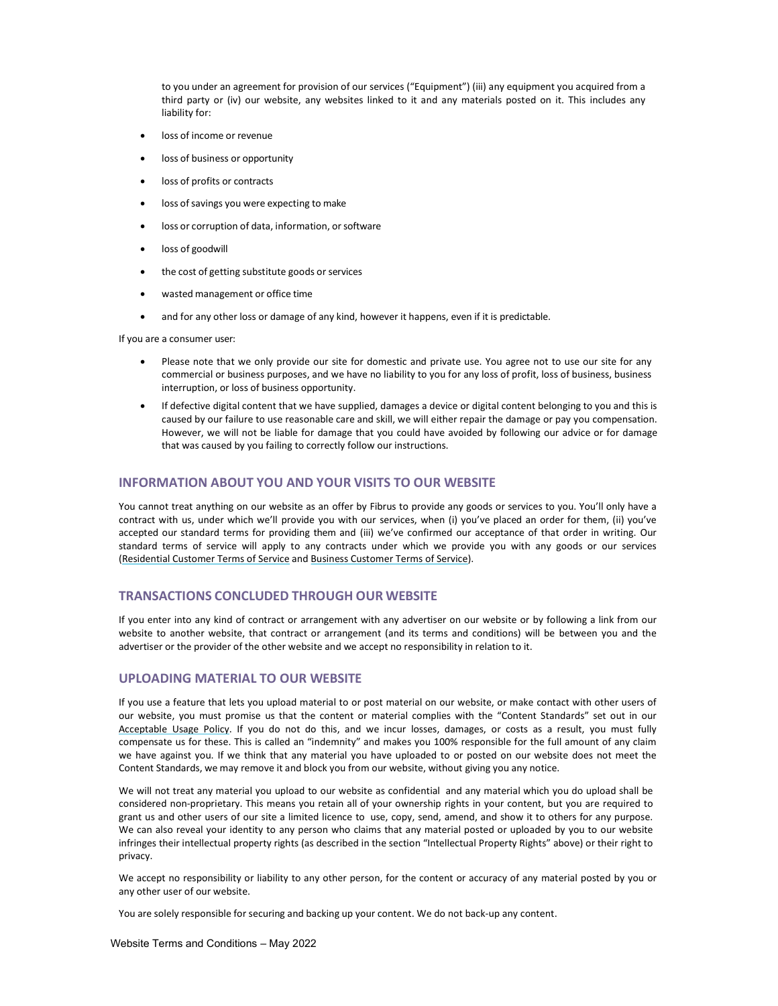to you under an agreement for provision of our services ("Equipment") (iii) any equipment you acquired from a third party or (iv) our website, any websites linked to it and any materials posted on it. This includes any liability for:

- loss of income or revenue
- loss of business or opportunity
- loss of profits or contracts
- loss of savings you were expecting to make
- loss or corruption of data, information, or software
- **•** loss of goodwill
- the cost of getting substitute goods or services
- wasted management or office time
- and for any other loss or damage of any kind, however it happens, even if it is predictable.

If you are a consumer user:

- Please note that we only provide our site for domestic and private use. You agree not to use our site for any commercial or business purposes, and we have no liability to you for any loss of profit, loss of business, business interruption, or loss of business opportunity.
- If defective digital content that we have supplied, damages a device or digital content belonging to you and this is caused by our failure to use reasonable care and skill, we will either repair the damage or pay you compensation. However, we will not be liable for damage that you could have avoided by following our advice or for damage that was caused by you failing to correctly follow our instructions.

# INFORMATION ABOUT YOU AND YOUR VISITS TO OUR WEBSITE

You cannot treat anything on our website as an offer by Fibrus to provide any goods or services to you. You'll only have a contract with us, under which we'll provide you with our services, when (i) you've placed an order for them, (ii) you've accepted our standard terms for providing them and (iii) we've confirmed our acceptance of that order in writing. Our standard terms of service will apply to any contracts under which we provide you with any goods or our services (Residential Customer Terms of Service and Business Customer Terms of Service).

# TRANSACTIONS CONCLUDED THROUGH OUR WEBSITE

If you enter into any kind of contract or arrangement with any advertiser on our website or by following a link from our website to another website, that contract or arrangement (and its terms and conditions) will be between you and the advertiser or the provider of the other website and we accept no responsibility in relation to it.

## UPLOADING MATERIAL TO OUR WEBSITE

If you use a feature that lets you upload material to or post material on our website, or make contact with other users of our website, you must promise us that the content or material complies with the "Content Standards" set out in our Acceptable Usage Policy. If you do not do this, and we incur losses, damages, or costs as a result, you must fully compensate us for these. This is called an "indemnity" and makes you 100% responsible for the full amount of any claim we have against you. If we think that any material you have uploaded to or posted on our website does not meet the Content Standards, we may remove it and block you from our website, without giving you any notice.

We will not treat any material you upload to our website as confidential and any material which you do upload shall be considered non-proprietary. This means you retain all of your ownership rights in your content, but you are required to grant us and other users of our site a limited licence to use, copy, send, amend, and show it to others for any purpose. We can also reveal your identity to any person who claims that any material posted or uploaded by you to our website infringes their intellectual property rights (as described in the section "Intellectual Property Rights" above) or their right to privacy.

We accept no responsibility or liability to any other person, for the content or accuracy of any material posted by you or any other user of our website.

You are solely responsible for securing and backing up your content. We do not back-up any content.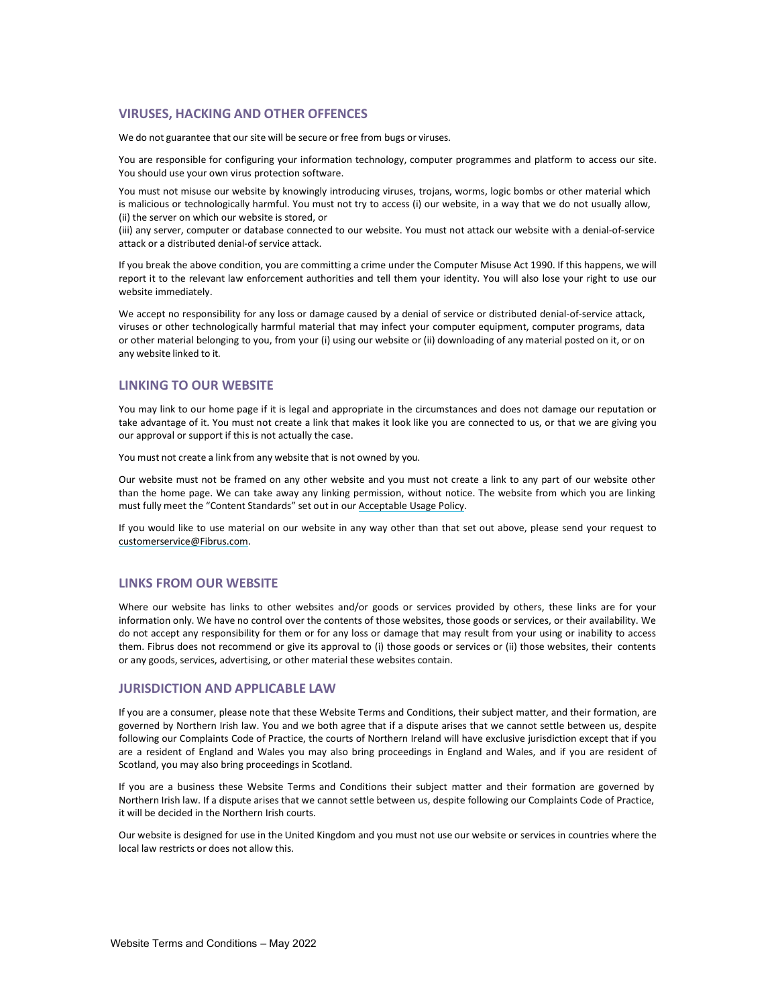# VIRUSES, HACKING AND OTHER OFFENCES

We do not guarantee that our site will be secure or free from bugs or viruses.

You are responsible for configuring your information technology, computer programmes and platform to access our site. You should use your own virus protection software.

You must not misuse our website by knowingly introducing viruses, trojans, worms, logic bombs or other material which is malicious or technologically harmful. You must not try to access (i) our website, in a way that we do not usually allow, (ii) the server on which our website is stored, or

(iii) any server, computer or database connected to our website. You must not attack our website with a denial-of-service attack or a distributed denial-of service attack.

If you break the above condition, you are committing a crime under the Computer Misuse Act 1990. If this happens, we will report it to the relevant law enforcement authorities and tell them your identity. You will also lose your right to use our website immediately.

We accept no responsibility for any loss or damage caused by a denial of service or distributed denial-of-service attack, viruses or other technologically harmful material that may infect your computer equipment, computer programs, data or other material belonging to you, from your (i) using our website or (ii) downloading of any material posted on it, or on any website linked to it.

# LINKING TO OUR WEBSITE

You may link to our home page if it is legal and appropriate in the circumstances and does not damage our reputation or take advantage of it. You must not create a link that makes it look like you are connected to us, or that we are giving you our approval or support if this is not actually the case.

You must not create a link from any website that is not owned by you.

Our website must not be framed on any other website and you must not create a link to any part of our website other than the home page. We can take away any linking permission, without notice. The website from which you are linking must fully meet the "Content Standards" set out in our Acceptable Usage Policy.

If you would like to use material on our website in any way other than that set out above, please send your request to customerservice@Fibrus.com.

#### LINKS FROM OUR WEBSITE

Where our website has links to other websites and/or goods or services provided by others, these links are for your information only. We have no control over the contents of those websites, those goods or services, or their availability. We do not accept any responsibility for them or for any loss or damage that may result from your using or inability to access them. Fibrus does not recommend or give its approval to (i) those goods or services or (ii) those websites, their contents or any goods, services, advertising, or other material these websites contain.

#### JURISDICTION AND APPLICABLE LAW

If you are a consumer, please note that these Website Terms and Conditions, their subject matter, and their formation, are governed by Northern Irish law. You and we both agree that if a dispute arises that we cannot settle between us, despite following our Complaints Code of Practice, the courts of Northern Ireland will have exclusive jurisdiction except that if you are a resident of England and Wales you may also bring proceedings in England and Wales, and if you are resident of Scotland, you may also bring proceedings in Scotland.

If you are a business these Website Terms and Conditions their subject matter and their formation are governed by Northern Irish law. If a dispute arises that we cannot settle between us, despite following our Complaints Code of Practice, it will be decided in the Northern Irish courts.

Our website is designed for use in the United Kingdom and you must not use our website or services in countries where the local law restricts or does not allow this.